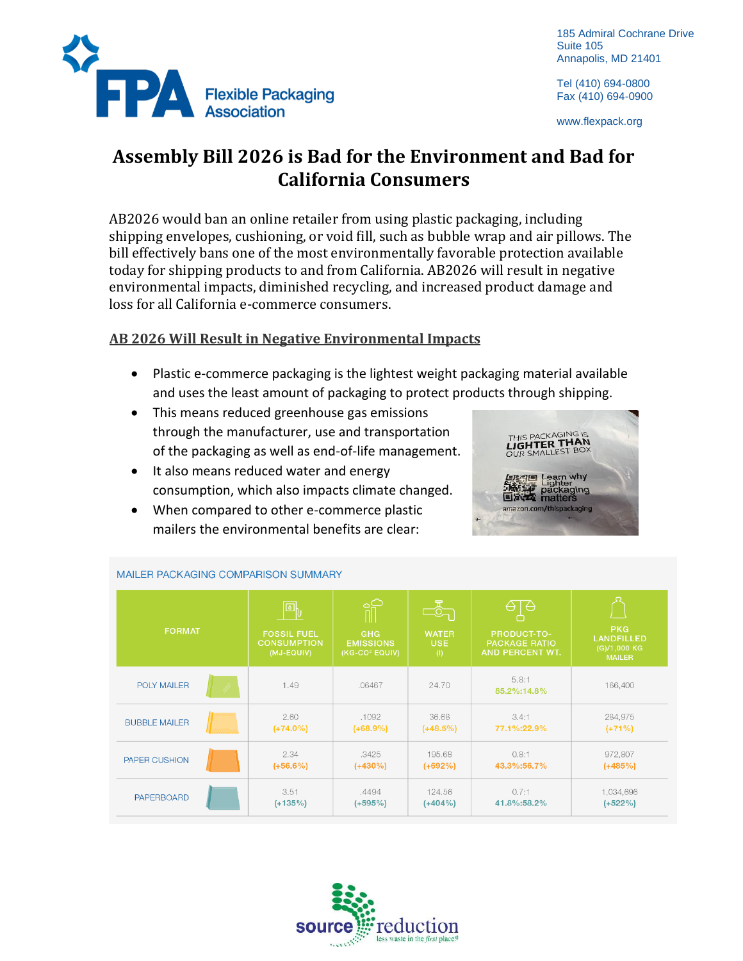

185 Admiral Cochrane Drive Suite 105 Annapolis, MD 21401

Tel (410) 694-0800 Fax (410) 694-0900

www.flexpack.org

# **Assembly Bill 2026 is Bad for the Environment and Bad for California Consumers**

AB2026 would ban an online retailer from using plastic packaging, including shipping envelopes, cushioning, or void fill, such as bubble wrap and air pillows. The bill effectively bans one of the most environmentally favorable protection available today for shipping products to and from California. AB2026 will result in negative environmental impacts, diminished recycling, and increased product damage and loss for all California e-commerce consumers.

# **AB 2026 Will Result in Negative Environmental Impacts**

- Plastic e-commerce packaging is the lightest weight packaging material available and uses the least amount of packaging to protect products through shipping.
- This means reduced greenhouse gas emissions through the manufacturer, use and transportation of the packaging as well as end-of-life management.
- It also means reduced water and energy consumption, which also impacts climate changed.
- When compared to other e-commerce plastic mailers the environmental benefits are clear:



| <b>FORMAT</b>        | $\left[ \begin{matrix} \boxed{\mathbf{0}} \ \mathbf{0} \end{matrix} \right]$<br><b>FOSSIL FUEL</b><br><b>CONSUMPTION</b><br>(MJ-EQUIV) | <b>ATT</b><br><b>GHG</b><br><b>EMISSIONS</b><br>(KG-CO <sup>2</sup> EQUIV) | $\overline{\mathbb{Z}}$<br><b>WATER</b><br>USE.<br>(1) | €<br>⊖<br><b>PRODUCT-TO-</b><br><b>PACKAGE RATIO</b><br><b>AND PERCENT WT.</b> | <b>PKG</b><br>LANDFILLED<br>$(G)/1,000$ KG<br><b>MAILER</b> |
|----------------------|----------------------------------------------------------------------------------------------------------------------------------------|----------------------------------------------------------------------------|--------------------------------------------------------|--------------------------------------------------------------------------------|-------------------------------------------------------------|
| <b>POLY MAILER</b>   | 1.49                                                                                                                                   | .06467                                                                     | 24.70                                                  | 5.8:1<br>85.2%:14.8%                                                           | 166,400                                                     |
| <b>BUBBLE MAILER</b> | 2.60                                                                                                                                   | .1092                                                                      | 36.68                                                  | 3.4:1                                                                          | 284,975                                                     |
|                      | $(+74.0%)$                                                                                                                             | $(+68.9%)$                                                                 | $(+48.5%)$                                             | 77.1%:22.9%                                                                    | $(+71%)$                                                    |
| <b>PAPER CUSHION</b> | 2.34                                                                                                                                   | .3425                                                                      | 195.68                                                 | 0.8:1                                                                          | 972,807                                                     |
|                      | $(+56.6%)$                                                                                                                             | $(+430\%)$                                                                 | $(+692%)$                                              | 43.3%:56.7%                                                                    | $(+485%)$                                                   |
| <b>PAPERBOARD</b>    | 3.51                                                                                                                                   | .4494                                                                      | 124.56                                                 | 0.7:1                                                                          | 1,034,696                                                   |
|                      | $(+135%)$                                                                                                                              | $(+595%)$                                                                  | $(+404%)$                                              | 41.8%:58.2%                                                                    | $(+522%)$                                                   |

#### MAILER PACKAGING COMPARISON SUMMARY